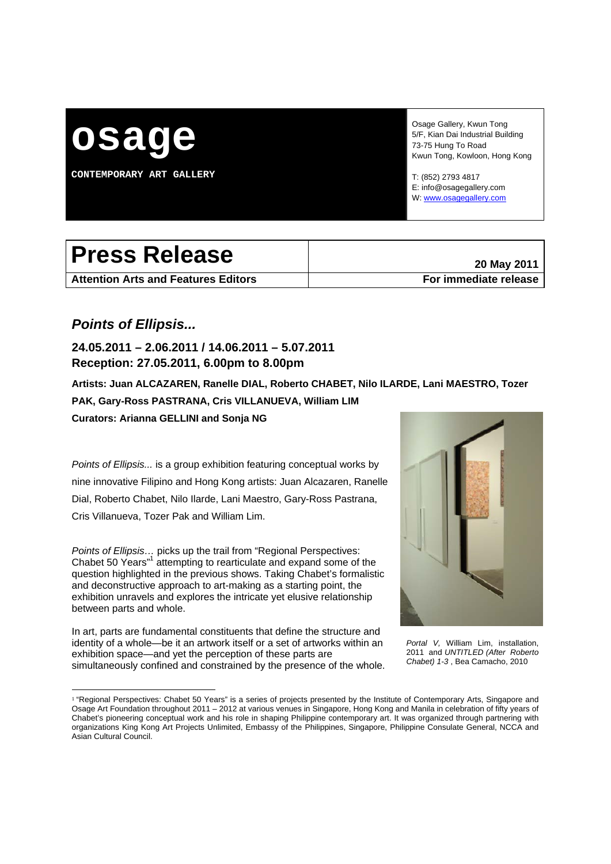

**CONTEMPORARY ART GALLERY** 

Osage Gallery, Kwun Tong 5/F, Kian Dai Industrial Building 73-75 Hung To Road Kwun Tong, Kowloon, Hong Kong

T: (852) 2793 4817 E: info@osagegallery.com W: www.osagegallery.com

# Press Release **Press Release**

**Attention Arts and Features Editors For immediate release**

# *Points of Ellipsis...*

**24.05.2011 – 2.06.2011 / 14.06.2011 – 5.07.2011 Reception: 27.05.2011, 6.00pm to 8.00pm** 

**Artists: Juan ALCAZAREN, Ranelle DIAL, Roberto CHABET, Nilo ILARDE, Lani MAESTRO, Tozer PAK, Gary-Ross PASTRANA, Cris VILLANUEVA, William LIM Curators: Arianna GELLINI and Sonja NG** 

*Points of Ellipsis...* is a group exhibition featuring conceptual works by nine innovative Filipino and Hong Kong artists: Juan Alcazaren, Ranelle Dial, Roberto Chabet, Nilo Ilarde, Lani Maestro, Gary-Ross Pastrana, Cris Villanueva, Tozer Pak and William Lim.

*Points of Ellipsis…* picks up the trail from "Regional Perspectives: Chabet 50 Years"<sup>1</sup> attempting to rearticulate and expand some of the question highlighted in the previous shows. Taking Chabet's formalistic and deconstructive approach to art-making as a starting point, the exhibition unravels and explores the intricate yet elusive relationship between parts and whole.

In art, parts are fundamental constituents that define the structure and identity of a whole—be it an artwork itself or a set of artworks within an exhibition space—and yet the perception of these parts are simultaneously confined and constrained by the presence of the whole.



*Portal V,* William Lim, installation, 2011 and *UNTITLED (After Roberto Chabet) 1-3* , Bea Camacho, 2010

<sup>&</sup>lt;sup>1</sup> "Regional Perspectives: Chabet 50 Years" is a series of projects presented by the Institute of Contemporary Arts, Singapore and Osage Art Foundation throughout 2011 – 2012 at various venues in Singapore, Hong Kong and Manila in celebration of fifty years of Chabet's pioneering conceptual work and his role in shaping Philippine contemporary art. It was organized through partnering with organizations King Kong Art Projects Unlimited, Embassy of the Philippines, Singapore, Philippine Consulate General, NCCA and Asian Cultural Council.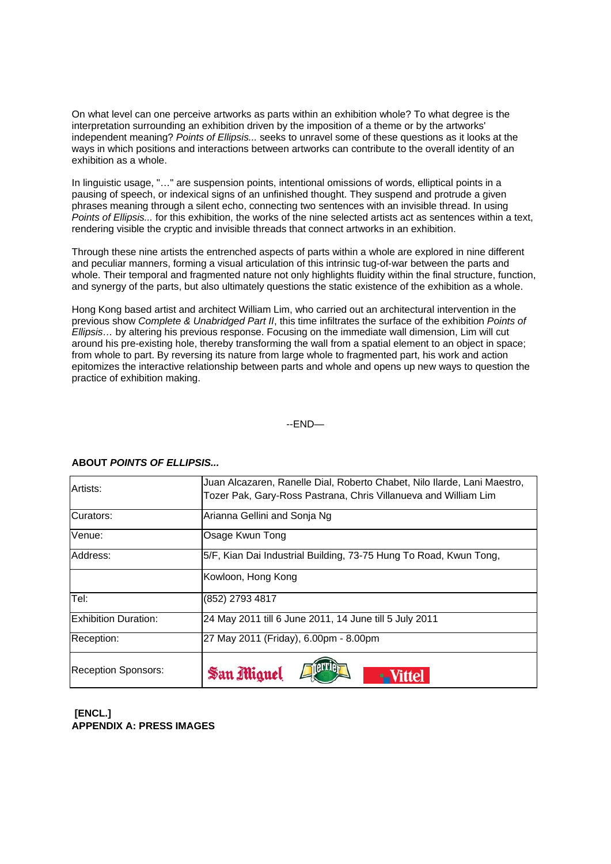On what level can one perceive artworks as parts within an exhibition whole? To what degree is the interpretation surrounding an exhibition driven by the imposition of a theme or by the artworks' independent meaning? *Points of Ellipsis...* seeks to unravel some of these questions as it looks at the ways in which positions and interactions between artworks can contribute to the overall identity of an exhibition as a whole.

In linguistic usage, "…" are suspension points, intentional omissions of words, elliptical points in a pausing of speech, or indexical signs of an unfinished thought. They suspend and protrude a given phrases meaning through a silent echo, connecting two sentences with an invisible thread. In using *Points of Ellipsis...* for this exhibition, the works of the nine selected artists act as sentences within a text, rendering visible the cryptic and invisible threads that connect artworks in an exhibition.

Through these nine artists the entrenched aspects of parts within a whole are explored in nine different and peculiar manners, forming a visual articulation of this intrinsic tug-of-war between the parts and whole. Their temporal and fragmented nature not only highlights fluidity within the final structure, function, and synergy of the parts, but also ultimately questions the static existence of the exhibition as a whole.

Hong Kong based artist and architect William Lim, who carried out an architectural intervention in the previous show *Complete & Unabridged Part II*, this time infiltrates the surface of the exhibition *Points of Ellipsis…* by altering his previous response. Focusing on the immediate wall dimension, Lim will cut around his pre-existing hole, thereby transforming the wall from a spatial element to an object in space; from whole to part. By reversing its nature from large whole to fragmented part, his work and action epitomizes the interactive relationship between parts and whole and opens up new ways to question the practice of exhibition making.

--END—

| Artists:                    | Juan Alcazaren, Ranelle Dial, Roberto Chabet, Nilo Ilarde, Lani Maestro,<br>Tozer Pak, Gary-Ross Pastrana, Chris Villanueva and William Lim |
|-----------------------------|---------------------------------------------------------------------------------------------------------------------------------------------|
|                             |                                                                                                                                             |
| Curators:                   | Arianna Gellini and Sonja Ng                                                                                                                |
| Venue:                      | Osage Kwun Tong                                                                                                                             |
| Address:                    | 5/F, Kian Dai Industrial Building, 73-75 Hung To Road, Kwun Tong,                                                                           |
|                             | Kowloon, Hong Kong                                                                                                                          |
| Tel:                        | (852) 2793 4817                                                                                                                             |
| <b>Exhibition Duration:</b> | 24 May 2011 till 6 June 2011, 14 June till 5 July 2011                                                                                      |
| Reception:                  | 27 May 2011 (Friday), 6.00pm - 8.00pm                                                                                                       |
| Reception Sponsors:         | San Miguel                                                                                                                                  |

## **ABOUT** *POINTS OF ELLIPSIS...*

## **[ENCL.] APPENDIX A: PRESS IMAGES**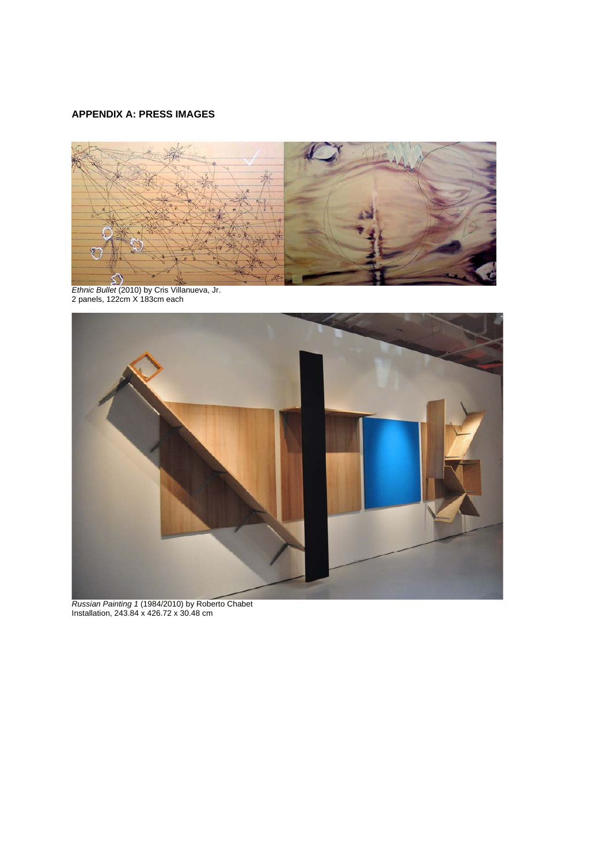# **APPENDIX A: PRESS IMAGES**



*Ethnic Bullet* (2010) by Cris Villanueva, Jr. 2 panels, 122cm X 183cm each



*Russian Painting 1* (1984/2010) by Roberto Chabet Installation, 243.84 x 426.72 x 30.48 cm